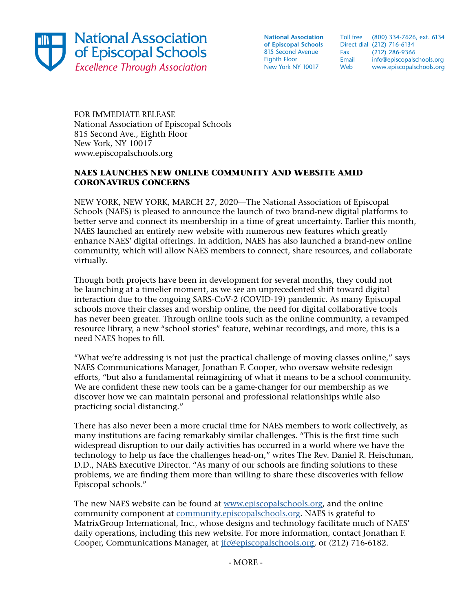

**National Association of Episcopal Schools** 815 Second Avenue Eighth Floor New York NY 10017

Toll free (800) 334-7626, ext. 6134 Direct dial (212) 716-6134 Fax (212) 286-9366<br>Email info@episcopals info@episcopalschools.org Web www.episcopalschools.org

FOR IMMEDIATE RELEASE National Association of Episcopal Schools 815 Second Ave., Eighth Floor New York, NY 10017 www.episcopalschools.org

## **NAES LAUNCHES NEW ONLINE COMMUNITY AND WEBSITE AMID CORONAVIRUS CONCERNS**

NEW YORK, NEW YORK, MARCH 27, 2020—The National Association of Episcopal Schools (NAES) is pleased to announce the launch of two brand-new digital platforms to better serve and connect its membership in a time of great uncertainty. Earlier this month, NAES launched an entirely new website with numerous new features which greatly enhance NAES' digital offerings. In addition, NAES has also launched a brand-new online community, which will allow NAES members to connect, share resources, and collaborate virtually.

Though both projects have been in development for several months, they could not be launching at a timelier moment, as we see an unprecedented shift toward digital interaction due to the ongoing SARS-CoV-2 (COVID-19) pandemic. As many Episcopal schools move their classes and worship online, the need for digital collaborative tools has never been greater. Through online tools such as the online community, a revamped resource library, a new "school stories" feature, webinar recordings, and more, this is a need NAES hopes to fill.

"What we're addressing is not just the practical challenge of moving classes online," says NAES Communications Manager, Jonathan F. Cooper, who oversaw website redesign efforts, "but also a fundamental reimagining of what it means to be a school community. We are confident these new tools can be a game-changer for our membership as we discover how we can maintain personal and professional relationships while also practicing social distancing."

There has also never been a more crucial time for NAES members to work collectively, as many institutions are facing remarkably similar challenges. "This is the first time such widespread disruption to our daily activities has occurred in a world where we have the technology to help us face the challenges head-on," writes The Rev. Daniel R. Heischman, D.D., NAES Executive Director. "As many of our schools are finding solutions to these problems, we are finding them more than willing to share these discoveries with fellow Episcopal schools."

The new NAES website can be found at [www.episcopalschools.org](http://www.episcopalschools.org), and the online community component at [community.episcopalschools.org.](http://community.episcopalschools.org) NAES is grateful to MatrixGroup International, Inc., whose designs and technology facilitate much of NAES' daily operations, including this new website. For more information, contact Jonathan F. Cooper, Communications Manager, at [jfc@episcopalschools.org,](mailto:jfc%40episcopalschools.org?subject=) or (212) 716-6182.